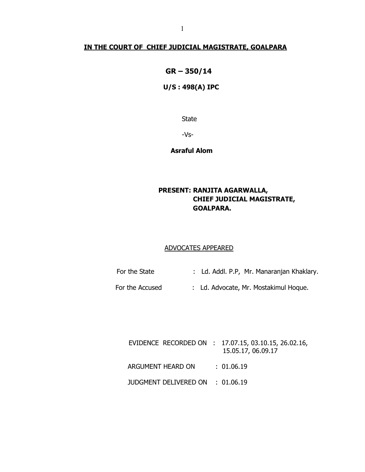# IN THE COURT OF CHIEF JUDICIAL MAGISTRATE, GOALPARA

# GR – 350/14

# U/S : 498(A) IPC

State

-Vs-

Asraful Alom

# PRESENT: RANJITA AGARWALLA, CHIEF JUDICIAL MAGISTRATE, GOALPARA.

### ADVOCATES APPEARED

- For the State : Ld. Addl. P.P, Mr. Manaranjan Khaklary.
- For the Accused : Ld. Advocate, Mr. Mostakimul Hoque.

|                                  | EVIDENCE RECORDED ON : 17.07.15, 03.10.15, 26.02.16,<br>15.05.17, 06.09.17 |
|----------------------------------|----------------------------------------------------------------------------|
| ARGUMENT HEARD ON : 01.06.19     |                                                                            |
| JUDGMENT DELIVERED ON : 01.06.19 |                                                                            |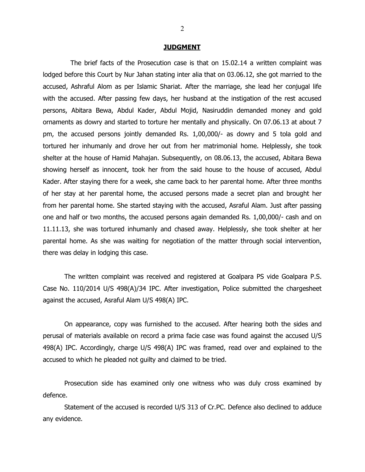#### **JUDGMENT**

 The brief facts of the Prosecution case is that on 15.02.14 a written complaint was lodged before this Court by Nur Jahan stating inter alia that on 03.06.12, she got married to the accused, Ashraful Alom as per Islamic Shariat. After the marriage, she lead her conjugal life with the accused. After passing few days, her husband at the instigation of the rest accused persons, Abitara Bewa, Abdul Kader, Abdul Mojid, Nasiruddin demanded money and gold ornaments as dowry and started to torture her mentally and physically. On 07.06.13 at about 7 pm, the accused persons jointly demanded Rs. 1,00,000/- as dowry and 5 tola gold and tortured her inhumanly and drove her out from her matrimonial home. Helplessly, she took shelter at the house of Hamid Mahajan. Subsequently, on 08.06.13, the accused, Abitara Bewa showing herself as innocent, took her from the said house to the house of accused, Abdul Kader. After staying there for a week, she came back to her parental home. After three months of her stay at her parental home, the accused persons made a secret plan and brought her from her parental home. She started staying with the accused, Asraful Alam. Just after passing one and half or two months, the accused persons again demanded Rs. 1,00,000/- cash and on 11.11.13, she was tortured inhumanly and chased away. Helplessly, she took shelter at her parental home. As she was waiting for negotiation of the matter through social intervention, there was delay in lodging this case.

The written complaint was received and registered at Goalpara PS vide Goalpara P.S. Case No. 110/2014 U/S 498(A)/34 IPC. After investigation, Police submitted the chargesheet against the accused, Asraful Alam U/S 498(A) IPC.

On appearance, copy was furnished to the accused. After hearing both the sides and perusal of materials available on record a prima facie case was found against the accused U/S 498(A) IPC. Accordingly, charge U/S 498(A) IPC was framed, read over and explained to the accused to which he pleaded not guilty and claimed to be tried.

 Prosecution side has examined only one witness who was duly cross examined by defence.

 Statement of the accused is recorded U/S 313 of Cr.PC. Defence also declined to adduce any evidence.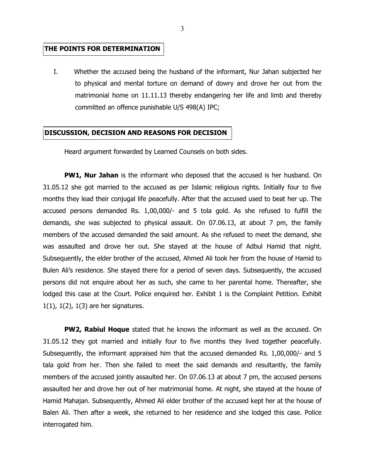### THE POINTS FOR DETERMINATION

I. Whether the accused being the husband of the informant, Nur Jahan subjected her to physical and mental torture on demand of dowry and drove her out from the matrimonial home on 11.11.13 thereby endangering her life and limb and thereby committed an offence punishable U/S 498(A) IPC;

### DISCUSSION, DECISION AND REASONS FOR DECISION

Heard argument forwarded by Learned Counsels on both sides.

**PW1, Nur Jahan** is the informant who deposed that the accused is her husband. On 31.05.12 she got married to the accused as per Islamic religious rights. Initially four to five months they lead their conjugal life peacefully. After that the accused used to beat her up. The accused persons demanded Rs. 1,00,000/- and 5 tola gold. As she refused to fulfill the demands, she was subjected to physical assault. On 07.06.13, at about 7 pm, the family members of the accused demanded the said amount. As she refused to meet the demand, she was assaulted and drove her out. She stayed at the house of Adbul Hamid that night. Subsequently, the elder brother of the accused, Ahmed Ali took her from the house of Hamid to Bulen Ali's residence. She stayed there for a period of seven days. Subsequently, the accused persons did not enquire about her as such, she came to her parental home. Thereafter, she lodged this case at the Court. Police enquired her. Exhibit 1 is the Complaint Petition. Exhibit 1(1), 1(2), 1(3) are her signatures.

**PW2, Rabiul Hoque** stated that he knows the informant as well as the accused. On 31.05.12 they got married and initially four to five months they lived together peacefully. Subsequently, the informant appraised him that the accused demanded Rs. 1,00,000/- and 5 tala gold from her. Then she failed to meet the said demands and resultantly, the family members of the accused jointly assaulted her. On 07.06.13 at about 7 pm, the accused persons assaulted her and drove her out of her matrimonial home. At night, she stayed at the house of Hamid Mahajan. Subsequently, Ahmed Ali elder brother of the accused kept her at the house of Balen Ali. Then after a week, she returned to her residence and she lodged this case. Police interrogated him.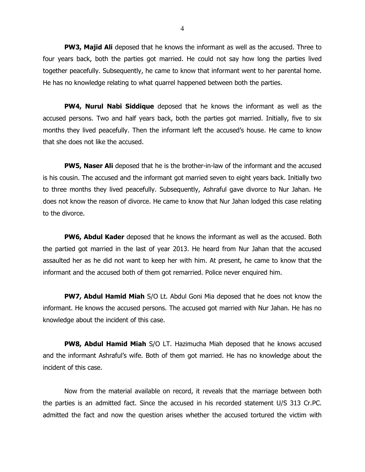**PW3, Majid Ali** deposed that he knows the informant as well as the accused. Three to four years back, both the parties got married. He could not say how long the parties lived together peacefully. Subsequently, he came to know that informant went to her parental home. He has no knowledge relating to what quarrel happened between both the parties.

**PW4, Nurul Nabi Siddique** deposed that he knows the informant as well as the accused persons. Two and half years back, both the parties got married. Initially, five to six months they lived peacefully. Then the informant left the accused's house. He came to know that she does not like the accused.

**PW5, Naser Ali** deposed that he is the brother-in-law of the informant and the accused is his cousin. The accused and the informant got married seven to eight years back. Initially two to three months they lived peacefully. Subsequently, Ashraful gave divorce to Nur Jahan. He does not know the reason of divorce. He came to know that Nur Jahan lodged this case relating to the divorce.

**PW6, Abdul Kader** deposed that he knows the informant as well as the accused. Both the partied got married in the last of year 2013. He heard from Nur Jahan that the accused assaulted her as he did not want to keep her with him. At present, he came to know that the informant and the accused both of them got remarried. Police never enquired him.

**PW7, Abdul Hamid Miah** S/O Lt. Abdul Goni Mia deposed that he does not know the informant. He knows the accused persons. The accused got married with Nur Jahan. He has no knowledge about the incident of this case.

PW8, Abdul Hamid Miah S/O LT. Hazimucha Miah deposed that he knows accused and the informant Ashraful's wife. Both of them got married. He has no knowledge about the incident of this case.

 Now from the material available on record, it reveals that the marriage between both the parties is an admitted fact. Since the accused in his recorded statement U/S 313 Cr.PC. admitted the fact and now the question arises whether the accused tortured the victim with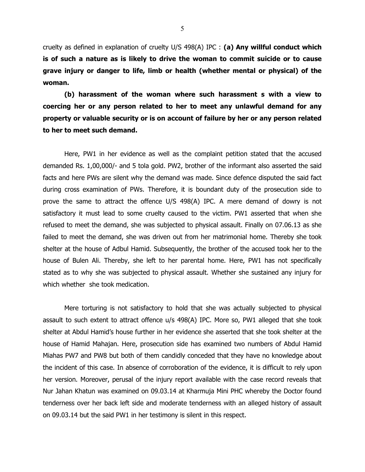cruelty as defined in explanation of cruelty  $U/S$  498(A) IPC : (a) Any willful conduct which is of such a nature as is likely to drive the woman to commit suicide or to cause grave injury or danger to life, limb or health (whether mental or physical) of the woman.

 (b) harassment of the woman where such harassment s with a view to coercing her or any person related to her to meet any unlawful demand for any property or valuable security or is on account of failure by her or any person related to her to meet such demand.

Here, PW1 in her evidence as well as the complaint petition stated that the accused demanded Rs. 1,00,000/- and 5 tola gold. PW2, brother of the informant also asserted the said facts and here PWs are silent why the demand was made. Since defence disputed the said fact during cross examination of PWs. Therefore, it is boundant duty of the prosecution side to prove the same to attract the offence U/S 498(A) IPC. A mere demand of dowry is not satisfactory it must lead to some cruelty caused to the victim. PW1 asserted that when she refused to meet the demand, she was subjected to physical assault. Finally on 07.06.13 as she failed to meet the demand, she was driven out from her matrimonial home. Thereby she took shelter at the house of Adbul Hamid. Subsequently, the brother of the accused took her to the house of Bulen Ali. Thereby, she left to her parental home. Here, PW1 has not specifically stated as to why she was subjected to physical assault. Whether she sustained any injury for which whether she took medication.

Mere torturing is not satisfactory to hold that she was actually subjected to physical assault to such extent to attract offence u/s 498(A) IPC. More so, PW1 alleged that she took shelter at Abdul Hamid's house further in her evidence she asserted that she took shelter at the house of Hamid Mahajan. Here, prosecution side has examined two numbers of Abdul Hamid Miahas PW7 and PW8 but both of them candidly conceded that they have no knowledge about the incident of this case. In absence of corroboration of the evidence, it is difficult to rely upon her version. Moreover, perusal of the injury report available with the case record reveals that Nur Jahan Khatun was examined on 09.03.14 at Kharmuja Mini PHC whereby the Doctor found tenderness over her back left side and moderate tenderness with an alleged history of assault on 09.03.14 but the said PW1 in her testimony is silent in this respect.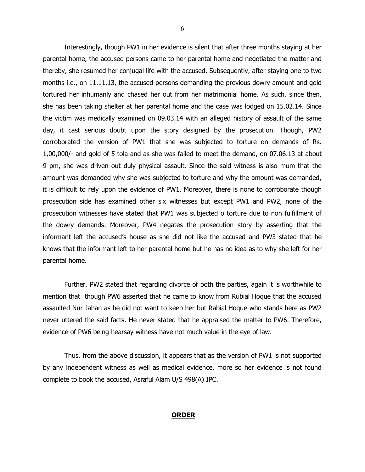Interestingly, though PW1 in her evidence is silent that after three months staying at her parental home, the accused persons came to her parental home and negotiated the matter and thereby, she resumed her conjugal life with the accused. Subsequently, after staying one to two months i.e., on 11.11.13, the accused persons demanding the previous dowry amount and gold tortured her inhumanly and chased her out from her matrimonial home. As such, since then, she has been taking shelter at her parental home and the case was lodged on 15.02.14. Since the victim was medically examined on 09.03.14 with an alleged history of assault of the same day, it cast serious doubt upon the story designed by the prosecution. Though, PW2 corroborated the version of PW1 that she was subjected to torture on demands of Rs. 1,00,000/- and gold of 5 tola and as she was failed to meet the demand, on 07.06.13 at about 9 pm, she was driven out duly physical assault. Since the said witness is also mum that the amount was demanded why she was subjected to torture and why the amount was demanded, it is difficult to rely upon the evidence of PW1. Moreover, there is none to corroborate though prosecution side has examined other six witnesses but except PW1 and PW2, none of the prosecution witnesses have stated that PW1 was subjected o torture due to non fulfillment of the dowry demands. Moreover, PW4 negates the prosecution story by asserting that the informant left the accused's house as she did not like the accused and PW3 stated that he knows that the informant left to her parental home but he has no idea as to why she left for her parental home.

Further, PW2 stated that regarding divorce of both the parties, again it is worthwhile to mention that though PW6 asserted that he came to know from Rubial Hoque that the accused assaulted Nur Jahan as he did not want to keep her but Rabial Hoque who stands here as PW2 never uttered the said facts. He never stated that he appraised the matter to PW6. Therefore, evidence of PW6 being hearsay witness have not much value in the eye of law.

Thus, from the above discussion, it appears that as the version of PW1 is not supported by any independent witness as well as medical evidence, more so her evidence is not found complete to book the accused, Asraful Alam U/S 498(A) IPC.

#### **ORDER**